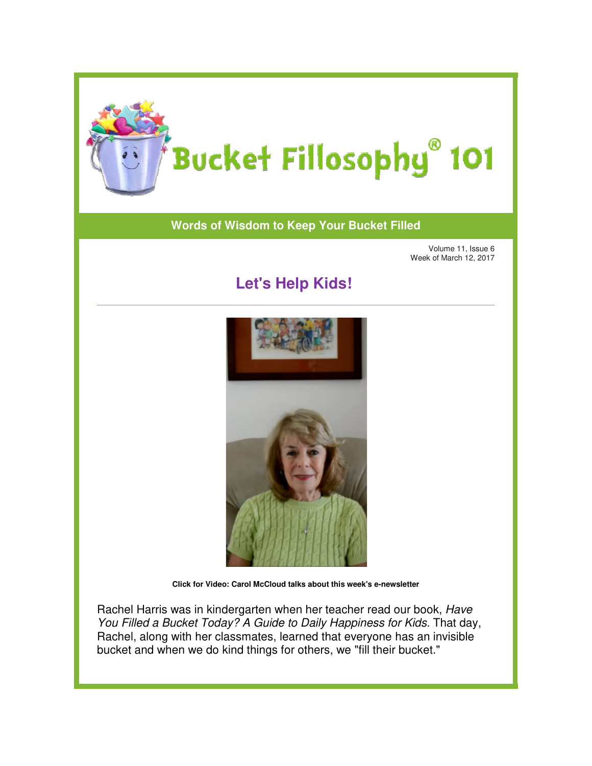

## **Words of Wisdom to Keep Your Bucket Filled of Wisdom to**

Volume 11, Issue 6 Week of March 12, 2017

## **Let's Help Kids!**



**Click for Video: Carol McCloud talks about this week's e-newsletter** 

Rachel Harris was in kindergarten when her teacher read our book, Rachel Harris You Filled a Bucket Today? A Guide to Daily Happiness for Kids. That day, You Filled a Bucket Today? A Guide to Daily Happiness for Kids. That day,<br>Rachel, along with her classmates, learned that everyone has an invisible bucket and when we do kind things for others, we "fill their bucket." Rachel Harris was in kindergarten when her teacher read our book, *Have*<br>You Filled a Bucket Today? A Guide to Daily Happiness for Kids. That day<br>Rachel, along with her classmates, learned that everyone has an invisible<br>bu